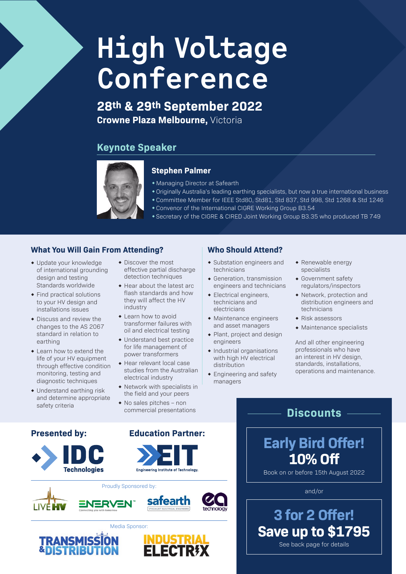# **High Voltage Conference**

**28th & 29th September 2022 Crowne Plaza Melbourne,** Victoria

## **Keynote Speaker**



### **Stephen Palmer**

- Managing Director at Safearth
- wOriginally Australia's leading earthing specialists, but now a true international business
- wCommittee Member for IEEE Std80, Std81, Std 837, Std 998, Std 1268 & Std 1246
	- $\bullet$  Convenor of the International CIGRE Working Group B3.54
- \* Secretary of the CIGRE & CIRED Joint Working Group B3.35 who produced TB 749

### **What You Will Gain From Attending?**

- Update your knowledge of international grounding design and testing Standards worldwide
- $\bullet$  Find practical solutions to your HV design and installations issues
- $\bullet$  Discuss and review the changes to the AS 2067 standard in relation to earthing
- $\bullet$  Learn how to extend the life of your HV equipment through effective condition monitoring, testing and diagnostic techniques
- $\bullet$  Understand earthing risk and determine appropriate safety criteria
- $\bullet$  Discover the most effective partial discharge detection techniques
- $\triangle$  Hear about the latest arc. flash standards and how they will affect the HV industry
- $\bullet$  Learn how to avoid transformer failures with oil and electrical testing
- $\bullet$  Understand best practice for life management of power transformers
- $\triangle$  Hear relevant local case studies from the Australian electrical industry
- $\bullet$  Network with specialists in the field and your peers
- $\bullet$  No sales pitches non commercial presentations

### **Who Should Attend?**

- Substation engineers and technicians
- Generation, transmission engineers and technicians
- $\bullet$  Electrical engineers, technicians and electricians
- $\bullet$  Maintenance engineers and asset managers
- $\bullet$  Plant, project and design engineers
- $\bullet$  Industrial organisations with high HV electrical distribution
- $\bullet$  Engineering and safety managers
- $\triangleleft$  Renewable energy specialists
- Government safety regulators/inspectors
- $\bullet$  Network, protection and distribution engineers and technicians
- $\triangleleft$  Risk assessors

 **Discounts** 

 $\bullet$  Maintenance specialists

And all other engineering professionals who have an interest in HV design. standards, installations, operations and maintenance.

## **Presented by: Education Partner:**









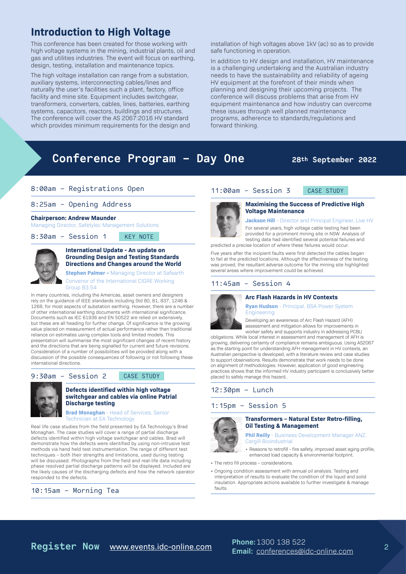## **Introduction to High Voltage**

This conference has been created for those working with high voltage systems in the mining, industrial plants, oil and gas and utilities industries. The event will focus on earthing, design, testing, installation and maintenance topics.

The high voltage installation can range from a substation, auxiliary systems, interconnecting cables/lines and naturally the user's facilities such a plant, factory, office facility and mine site. Equipment includes switchgear, transformers, converters, cables, lines, batteries, earthing systems, capacitors, reactors, buildings and structures. The conference will cover the AS 2067:2016 HV standard which provides minimum requirements for the design and installation of high voltages above 1kV (ac) so as to provide safe functioning in operation.

In addition to HV design and installation, HV maintenance is a challenging undertaking and the Australian industry needs to have the sustainability and reliability of ageing HV equipment at the forefront of their minds when planning and designing their upcoming projects. The conference will discuss problems that arise from HV equipment maintenance and how industry can overcome these issues through well planned maintenance programs, adherence to standards/regulations and forward thinking.

## Conference Program - Day One 28th September 2022

#### 8:00am – Registrations Open

#### 8:25am - Opening Address

#### **Chairperson: Andrew Maunder**

Managing Director, Safetylec Management Solutions

#### 8:30am - Session 1 KEY NOTE



#### **International Update - An update on Grounding Design and Testing Standards Directions and Changes around the World**

**Stephen Palmer –** Managing Director at Safearth Convenor of the International CIGRE Working Group B3.54

In many countries, including the Americas, asset owners and designers rely on the guidance of IEEE standards including Std 80, 81, 837, 1246 & 1268, for most aspects of substation earthing. However, there are a number of other international earthing documents with international significance. Documents such as IEC 61936 and EN 50522 are relied on extensively, but these are all heading for further change. Of significance is the growing value placed on measurement of actual performance rather than traditional reliance on estimates using complex tools and limited models. This presentation will summarise the most significant changes of recent history and the directions that are being signalled for current and future revisions. Consideration of a number of possibilities will be provided along with a discussion of the possible consequences of following or not following these international directions.

#### 9:30am - Session 2 CASE STUDY



#### **Defects identified within high voltage switchgear and cables via online Patrial Discharge testing**

**Brad Monaghan** - Head of Services, Senior Technician at EA Technology

Real life case studies from the field presented by EA Technology's Brad Monaghan. The case studies will cover a range of partial discharge defects identified within high voltage switchgear and cables. Brad will demonstrate how the defects were identified by using non-intrusive test methods via hand held test instrumentation. The range of different test techniques – both their strengths and limitations, used during testing will be discussed. Photographs from the field and real-life data including phase resolved partial discharge patterns will be displayed. Included are the likely causes of the discharging defects and how the network operator responded to the defects.

#### 10:15am – Morning Tea



#### **Maximising the Success of Predictive High Voltage Maintenance**

#### **Jackson Hill** – Director and Principal Engineer, Live HV

For several years, high voltage cable testing had been provided for a prominent mining site in NSW. Analysis of testing data had identified several potential failures and predicted a precise location of where these failures would occur.

Five years after the incipient faults were first detected the cables began to fail at the predicted locations. Although the effectiveness of the testing was proved, the resultant adverse outcome for the mining site highlighted

11:00am - Session 3 CASE STUDY

#### 11:45am - Session 4

several areas where improvement could be achieved.

#### **Arc Flash Hazards in HV Contexts**



**Ryan Hudson** - Principal, BSA Power System **Engineering** 

Developing an awareness of Arc Flash Hazard (AFH) assessment and mitigation allows for improvements in worker safety and supports industry in addressing PCBU

obligations. While local interest in assessment and management of AFH is growing, delivering certainty of compliance remains ambiguous. Using AS2067 as the starting point for understanding AFH management in HV contexts, an Australian perspective is developed, with a literature review and case studies to support observations. Results demonstrate that work needs to be done on alignment of methodologies. However, application of good engineering practices shows that the informed HV industry participant is conclusively better placed to safely manage this hazard..

#### 12:30pm – Lunch

#### 1:15pm – Session 5



#### **Transformers – Natural Ester Retro-filling, Oil Testing & Management**

**Phil Reilly** - Business Development Manager ANZ, Cargill Bioindustrial

• Reasons to retrofill - fire safety, improved asset aging profile, enhanced load capacity & environmental footprint.

- The retro fill process considerations.
- Ongoing condition assessment with annual oil analysis. Testing and interpretation of results to evaluate the condition of the liquid and solid insulation. Appropriate actions available to further investigate & manage faults.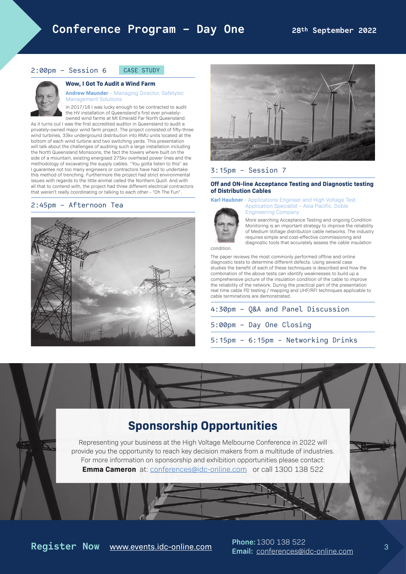#### 2:00pm – Session 6 CASE STUDY

#### **Wow, I Got To Audit a Wind Farm**



**Andrew Maunder** – Managing Director, Safetylec Management Solutions In 2017/18 I was lucky enough to be contracted to audit

the HV installation of Queensland's first ever privatelyowned wind farms at Mt Emerald Far North Queensland. As it turns out I was the first accredited auditor in Queensland to audit a privately-owned major wind farm project. The project consisted of fifty-three wind turbines, 33kv underground distribution into RMU units located at the bottom of each wind turbine and two switching yards. This presentation will talk about the challenges of auditing such a large installation including the North Queensland Monsoons, the fact the towers where built on the side of a mountain, existing energised 275kv overhead power lines and the methodology of excavating the supply cables. "You gotta listen to this" as I guarantee not too many engineers or contractors have had to undertake this method of trenching. Furthermore the project had strict environmental issues with regards to the little animal called the Northern Quoll. And with all that to contend with, the project had three different electrical contractors that weren't really coordinating or talking to each other - "Oh The Fun".

#### 2:45pm – Afternoon Tea





#### 3:15pm – Session 7

#### **Off and ON-line Acceptance Testing and Diagnostic testing of Distribution Cables**



**Karl Haubner** - Applications Engineer and High Voltage Test Application Specialist – Asia Pacific, Doble Engineering Company

> More searching Acceptance Testing and ongoing Condition Monitoring is an important strategy to improve the reliability of Medium Voltage distribution cable networks. The industry requires simple and cost-effective commissioning and diagnostic tools that accurately assess the cable insulation

condition.

The paper reviews the most commonly performed offline and online diagnostic tests to determine different defects. Using several case studies the benefit of each of these techniques is described and how the combination of the above tests can identify weaknesses to build up a comprehensive picture of the insulation condition of the cable to improve the reliability of the network. During the practical part of the presentation real time cable PD testing / mapping and UHF/RFI techniques applicable to cable terminations are demonstrated.

4:30pm – Q&A and Panel Discussion 5:00pm – Day One Closing

5:15pm – 6:15pm - Networking Drinks

## **Sponsorship Opportunities**

Representing your business at the High Voltage Melbourne Conference in 2022 will provide you the opportunity to reach key decision makers from a multitude of industries. For more information on sponsorship and exhibition opportunities please contact: **Emma Cameron** at: [conferences@idc-online.com](mailto:https://www.events.idc-online.com/upcoming-conferences/high-voltage-conference-adelaide-australia?subject=High%20Voltage%20Conference%2C%20Adelaide) or call 1300 138 522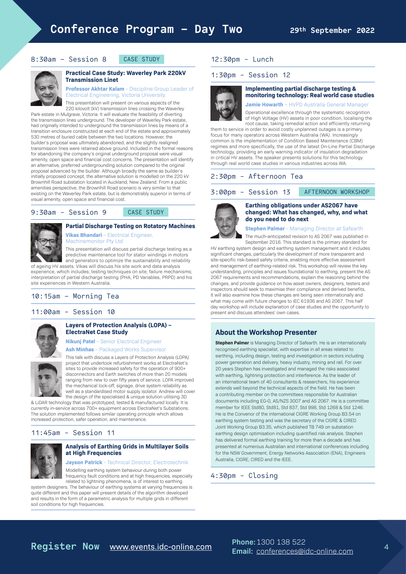#### 8:30am – Session 8 CASE STUDY



#### **Practical Case Study: Waverley Park 220kV Transmission Linet**

**Professor Akhtar Kalam** - Discipline Group Leader of Electrical Engineering, Victoria University. This presentation will present on various aspects of the

220 kilovolt (kV) transmission lines crossing the Waverley Park estate in Mulgrave, Victoria. It will evaluate the feasibility of diverting the transmission lines underground. The developer of Waverley Park estate, had originally intended to underground the transmission lines by means of a transition enclosure constructed at each end of the estate and approximately 530 metres of buried cable between the two locations. However, the builder's proposal was ultimately abandoned, and the slightly realigned transmission lines were retained above ground. Included in the formal reasons for abandoning the company's original underground proposal were visual amenity, open space and financial cost concerns. The presentation will identify an alternative, preferred undergrounding solution compared to the original proposal advanced by the builder. Although broadly the same as builder's initially proposed concept, the alternative solution is modelled on the 220 kV Brownhill Road substation located in Auckland, New Zealand. From a public amenities perspective, the Brownhill Road scenario is very similar to that existing on the Waverley Park estate, but is demonstrably superior in terms of visual amenity, open space and financial cost.

#### 9:30am - Session 9 CASE STUDY

# **Partial Discharge Testing on Rotatory Machines**

**Vikas Bhandari** – Electrical Engineer, Machinemonitor Pty Ltd

This presentation will discuss partial discharge testing as a predictive maintenance tool for stator windings in motors and generators to optimize the sustainability and reliability of ageing HV assets. Vikas will discuss his site work and data analysis experience, which includes; testing techniques on site; failure mechanisms; interpretation of partial discharge testing (PHA, PD Variables, PRPD) and his

site experiences in Western Australia. 10:15am – Morning Tea

## 11:00am - Session 10



#### **Layers of Protection Analysis (LOPA) – ElectraNet Case Study**

**Nikunj Patel** – Senior Electrical Engineer

**Ash Minhas** – Packaged Works Supervisor

This talk with discuss a Layers of Protection Analysis (LOPA) project that undertook refurbishment works at ElectraNet's sites to provide increased safety for the operation of 900+ disconnectors and Earth switches of more than 20 models ranging from new to over fifty years of service. LOPA improved the mechanical lock-off, signage, drive system reliability as well as a standardised motor supply isolator. Andrew will cover the design of the specialised & unique solution utilising 3D

& LiDAR technology that was prototyped, tested & manufactured locally. It is currently in-service across 700+ equipment across ElectraNet's Substations. The solution implemented follows similar operating principle which allows increased protection, safer operation, and maintenance.

#### 11:45am - Session 11



#### **Analysis of Earthing Grids in Multilayer Soils at High Frequencies**

**Jayson Patrick** - Technical Director, Electrotechnik

Modelling earthing system behaviour during both power frequency fault conditions and at high frequencies, especially related to lightning phenomena, is of interest to earthing system designers. The behaviour of earthing systems at varying frequencies is

quite different and this paper will present details of the algorithm developed and results in the form of a parametric analysis for multiple grids in different soil conditions for high frequencies.

#### 12:30pm - Lunch

#### 1:30pm - Session 12



**Implementing partial discharge testing & monitoring technology: Real world case studies**

**Jamie Howarth** – HVPD Australia General Manager

Operational excellence through the systematic recognition of High Voltage (HV) assets in poor condition, localising the root cause, taking remedial action and efficiently returning

them to service in order to avoid costly unplanned outages is a primary focus for many operators across Western Australia (WA). Increasingly common is the implementation of Condition Based Maintenance (CBM) regimes and more specifically, the use of the latest On-Line Partial Discharge technology, providing an early warning indicator of insulation degradation in critical HV assets. The speaker presents solutions for this technology through real world case studies in various industries across WA.

#### 2:30pm - Afternoon Tea

3:00pm - Session 13 AFTERNOON WORKSHOP



#### **Earthing obligations under AS2067 have changed: What has changed, why, and what do you need to do next**

#### **Stephen Palmer** - Managing Director at Safearth

The much-anticipated revision to AS 2067 was published in September 2016. This standard is the primary standard for HV earthing system design and earthing system management and it includes significant changes, particularly the development of more transparent and site-specific risk-based safety criteria, enabling more effective assessment and management of earthing-related risk. This workshop will review the key understanding, principles and issues foundational to earthing, present the AS 2067 requirements and recommendations, explain the reasoning behind the changes, and provide guidance on how asset owners, designers, testers and inspectors should seek to maximise their compliance and derived benefits. It will also examine how these changes are being seen internationally and what may come with future changes to IEC 61936 and AS 2067. This half day workshop will include explanation of case studies and the opportunity to present and discuss attendees' own cases.

#### **About the Workshop Presenter**

**Stephen Palmer** is Managing Director of Safearth. He is an internationally recognised earthing specialist, with expertise in all areas related to earthing, including design, testing and investigation in sectors including power generation and delivery, heavy industry, mining and rail. For over 20 years Stephen has investigated and managed the risks associated with earthing, lightning protection and interference. As the leader of an international team of 40 consultants & researchers, his experience extends well beyond the technical aspects of the field. He has been a contributing member on the committees responsible for Australian documents including EG-0, AS/NZS 3007 and AS 2067. He is a committee member for IEEE Std80, Std81, Std 837, Std 998, Std 1268 & Std 1246. He is the Convenor of the international CIGRE Working Group B3.54 on earthing system testing and was the secretary of the CIGRE & CIRED Joint Working Group B3.35, which published TB 749 on substation earthing design optimisation including quantified risk analysis. Stephen has delivered formal earthing training for more than a decade and has presented at numerous Australian and international conferences including for the NSW Government, Energy Networks Association (ENA), Engineers Australia, CIGRE, CIRED and the IEEE.

#### 4:30pm - Closing

## **Register Now** [www.events.idc-online.com](https://www.events.idc-online.com/upcoming-conferences/high-voltage-conference-adelaide-australia) **Phone:**1300 138 522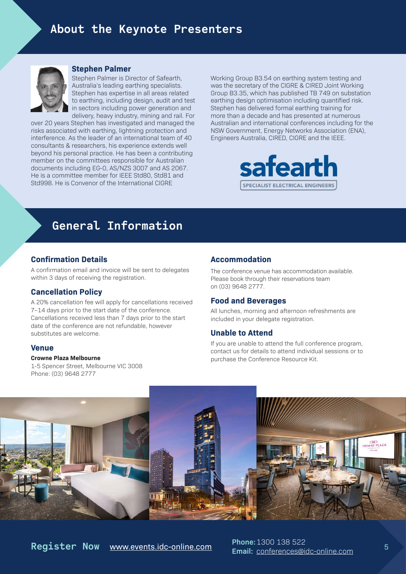

#### **Stephen Palmer**

Stephen Palmer is Director of Safearth, Australia's leading earthing specialists. Stephen has expertise in all areas related to earthing, including design, audit and test in sectors including power generation and delivery, heavy industry, mining and rail. For

over 20 years Stephen has investigated and managed the risks associated with earthing, lightning protection and interference. As the leader of an international team of 40 consultants & researchers, his experience extends well beyond his personal practice. He has been a contributing member on the committees responsible for Australian documents including EG-0, AS/NZS 3007 and AS 2067. He is a committee member for IEEE Std80, Std81 and Std998. He is Convenor of the International CIGRE

Working Group B3.54 on earthing system testing and was the secretary of the CIGRE & CIRED Joint Working Group B3.35, which has published TB 749 on substation earthing design optimisation including quantified risk. Stephen has delivered formal earthing training for more than a decade and has presented at numerous Australian and international conferences including for the NSW Government, Energy Networks Association (ENA), Engineers Australia, CIRED, CIGRE and the IEEE.



## **General Information**

#### **Confirmation Details**

A confirmation email and invoice will be sent to delegates within 3 days of receiving the registration.

#### **Cancellation Policy**

A 20% cancellation fee will apply for cancellations received 7–14 days prior to the start date of the conference. Cancellations received less than 7 days prior to the start date of the conference are not refundable, however substitutes are welcome.

#### **Venue**

#### **Crowne Plaza Melbourne**

1-5 Spencer Street, Melbourne VIC 3008 Phone: (03) 9648 2777

#### **Accommodation**

The conference venue has accommodation available. Please book through their reservations team on (03) 9648 2777.

#### **Food and Beverages**

All lunches, morning and afternoon refreshments are included in your delegate registration.

#### **Unable to Attend**

If you are unable to attend the full conference program, contact us for details to attend individual sessions or to purchase the Conference Resource Kit.